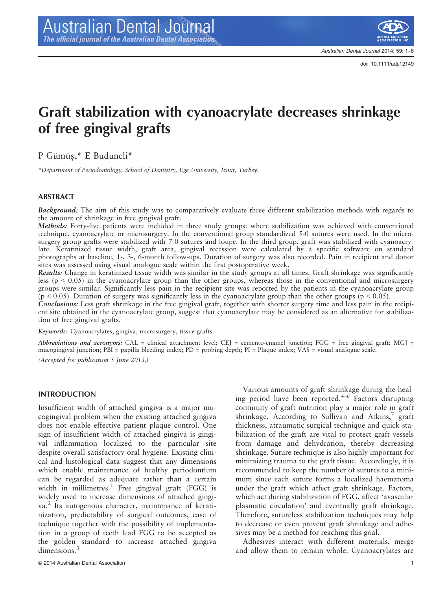doi: 10.1111/adj.12149

# Graft stabilization with cyanoacrylate decreases shrinkage of free gingival grafts

P Gümüş,\* E Buduneli\*

\*Department of Periodontology, School of Dentistry, Ege University, İzmir, Turkey.

## ABSTRACT

Background: The aim of this study was to comparatively evaluate three different stabilization methods with regards to the amount of shrinkage in free gingival graft.

Methods: Forty-five patients were included in three study groups: where stabilization was achieved with conventional technique, cyanoacrylate or microsurgery. In the conventional group standardized 5-0 sutures were used. In the microsurgery group grafts were stabilized with 7-0 sutures and loupe. In the third group, graft was stabilized with cyanoacrylate. Keratinized tissue width, graft area, gingival recession were calculated by a specific software on standard photographs at baseline, 1-, 3-, 6-month follow-ups. Duration of surgery was also recorded. Pain in recipient and donor sites was assessed using visual analogue scale within the first postoperative week.

Results: Change in keratinized tissue width was similar in the study groups at all times. Graft shrinkage was significantly less ( $p < 0.05$ ) in the cyanoacrylate group than the other groups, whereas those in the conventional and microsurgery groups were similar. Significantly less pain in the recipient site was reported by the patients in the cyanoacrylate group  $(p < 0.05)$ . Duration of surgery was significantly less in the cyanoacrylate group than the other groups  $(p < 0.05)$ .

Conclusions: Less graft shrinkage in the free gingival graft, together with shorter surgery time and less pain in the recipient site obtained in the cyanoacrylate group, suggest that cyanoacrylate may be considered as an alternative for stabilization of free gingival grafts.

Keywords: Cyanoacrylates, gingiva, microsurgery, tissue grafts.

Abbreviations and acronyms: CAL = clinical attachment level; CEJ = cemento-enamel junction; FGG = free gingival graft; MGJ = mucogingival junction; PBI = papilla bleeding index; PD = probing depth; PI = Plaque index; VAS = visual analogue scale. (Accepted for publication 5 June 2013.)

#### INTRODUCTION

Insufficient width of attached gingiva is a major mucogingival problem when the existing attached gingiva does not enable effective patient plaque control. One sign of insufficient width of attached gingiva is gingival inflammation localized to the particular site despite overall satisfactory oral hygiene. Existing clinical and histological data suggest that any dimensions which enable maintenance of healthy periodontium can be regarded as adequate rather than a certain width in millimetres.<sup>1</sup> Free gingival graft (FGG) is widely used to increase dimensions of attached gingiva.<sup>2</sup> Its autogenous character, maintenance of keratinization, predictability of surgical outcomes, ease of technique together with the possibility of implementation in a group of teeth lead FGG to be accepted as the golden standard to increase attached gingiva dimensions.<sup>3</sup>

Various amounts of graft shrinkage during the healing period have been reported. $4-6$  Factors disrupting continuity of graft nutrition play a major role in graft shrinkage. According to Sullivan and Atkins, $7$  graft thickness, atraumatic surgical technique and quick stabilization of the graft are vital to protect graft vessels from damage and dehydration, thereby decreasing shrinkage. Suture technique is also highly important for minimizing trauma to the graft tissue. Accordingly, it is recommended to keep the number of sutures to a minimum since each suture forms a localized haematoma under the graft which affect graft shrinkage. Factors, which act during stabilization of FGG, affect 'avascular plasmatic circulation' and eventually graft shrinkage. Therefore, sutureless stabilization techniques may help to decrease or even prevent graft shrinkage and adhesives may be a method for reaching this goal.

Adhesives interact with different materials, merge and allow them to remain whole. Cyanoacrylates are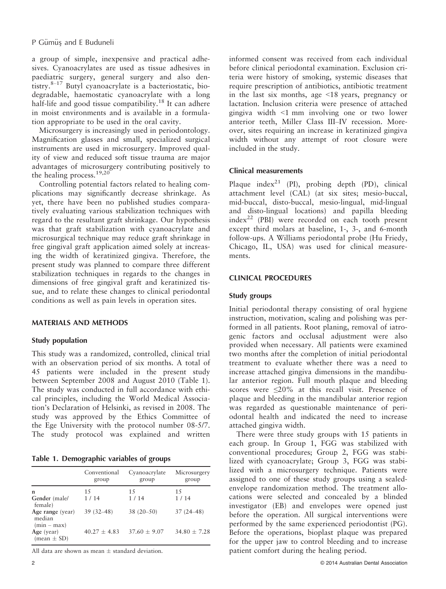a group of simple, inexpensive and practical adhesives. Cyanoacrylates are used as tissue adhesives in paediatric surgery, general surgery and also dentistry. $8-17$  Butyl cyanoacrylate is a bacteriostatic, biodegradable, haemostatic cyanoacrylate with a long half-life and good tissue compatibility.<sup>18</sup> It can adhere in moist environments and is available in a formulation appropriate to be used in the oral cavity.

Microsurgery is increasingly used in periodontology. Magnification glasses and small, specialized surgical instruments are used in microsurgery. Improved quality of view and reduced soft tissue trauma are major advantages of microsurgery contributing positively to the healing process.<sup>19,20</sup>

Controlling potential factors related to healing complications may significantly decrease shrinkage. As yet, there have been no published studies comparatively evaluating various stabilization techniques with regard to the resultant graft shrinkage. Our hypothesis was that graft stabilization with cyanoacrylate and microsurgical technique may reduce graft shrinkage in free gingival graft application aimed solely at increasing the width of keratinized gingiva. Therefore, the present study was planned to compare three different stabilization techniques in regards to the changes in dimensions of free gingival graft and keratinized tissue, and to relate these changes to clinical periodontal conditions as well as pain levels in operation sites.

## MATERIALS AND METHODS

## Study population

This study was a randomized, controlled, clinical trial with an observation period of six months. A total of 45 patients were included in the present study between September 2008 and August 2010 (Table 1). The study was conducted in full accordance with ethical principles, including the World Medical Association's Declaration of Helsinki, as revised in 2008. The study was approved by the Ethics Committee of the Ege University with the protocol number 08-5/7. The study protocol was explained and written

Table 1. Demographic variables of groups

|                                             | Conventional<br>group | Cyanoacrylate<br>group | Microsurgery<br>group |
|---------------------------------------------|-----------------------|------------------------|-----------------------|
| n                                           | 15                    | 15                     | 15                    |
| Gender (male/<br>female)                    | 1/14                  | 1/14                   | 1 / 14                |
| Age range (year)<br>median<br>$(min - max)$ | $39(32 - 48)$         | $38(20-50)$            | $37(24 - 48)$         |
| Age (year)<br>$mean \pm SD$                 | $40.27 + 4.83$        | $37.60 \pm 9.07$       | $34.80 + 7.28$        |

All data are shown as mean  $\pm$  standard deviation.

informed consent was received from each individual before clinical periodontal examination. Exclusion criteria were history of smoking, systemic diseases that require prescription of antibiotics, antibiotic treatment in the last six months, age <18 years, pregnancy or lactation. Inclusion criteria were presence of attached gingiva width <1 mm involving one or two lower anterior teeth, Miller Class III–IV recession. Moreover, sites requiring an increase in keratinized gingiva width without any attempt of root closure were included in the study.

## Clinical measurements

Plaque index<sup>21</sup> (PI), probing depth (PD), clinical attachment level (CAL) (at six sites; mesio-buccal, mid-buccal, disto-buccal, mesio-lingual, mid-lingual and disto-lingual locations) and papilla bleeding  $index^{22}$  (PBI) were recorded on each tooth present except third molars at baseline, 1-, 3-, and 6-month follow-ups. A Williams periodontal probe (Hu Friedy, Chicago, IL, USA) was used for clinical measurements.

## CLINICAL PROCEDURES

## Study groups

Initial periodontal therapy consisting of oral hygiene instruction, motivation, scaling and polishing was performed in all patients. Root planing, removal of iatrogenic factors and occlusal adjustment were also provided when necessary. All patients were examined two months after the completion of initial periodontal treatment to evaluate whether there was a need to increase attached gingiva dimensions in the mandibular anterior region. Full mouth plaque and bleeding scores were  $\leq 20\%$  at this recall visit. Presence of plaque and bleeding in the mandibular anterior region was regarded as questionable maintenance of periodontal health and indicated the need to increase attached gingiva width.

There were three study groups with 15 patients in each group. In Group 1, FGG was stabilized with conventional procedures; Group 2, FGG was stabilized with cyanoacrylate; Group 3, FGG was stabilized with a microsurgery technique. Patients were assigned to one of these study groups using a sealedenvelope randomization method. The treatment allocations were selected and concealed by a blinded investigator (EB) and envelopes were opened just before the operation. All surgical interventions were performed by the same experienced periodontist (PG). Before the operations, bioplast plaque was prepared for the upper jaw to control bleeding and to increase patient comfort during the healing period.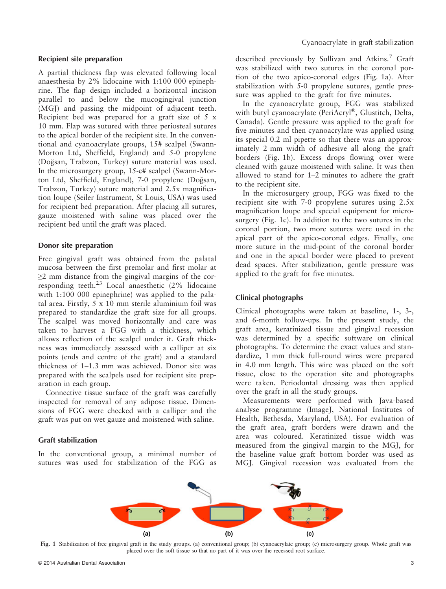### Recipient site preparation

A partial thickness flap was elevated following local anaesthesia by 2% lidocaine with 1:100 000 epinephrine. The flap design included a horizontal incision parallel to and below the mucogingival junction (MGJ) and passing the midpoint of adjacent teeth. Recipient bed was prepared for a graft size of 5 x 10 mm. Flap was sutured with three periosteal sutures to the apical border of the recipient site. In the conventional and cyanoacrylate groups, 15# scalpel (Swann-Morton Ltd, Sheffield, England) and 5-0 propylene (Doğsan, Trabzon, Turkey) suture material was used. In the microsurgery group, 15-c# scalpel (Swann-Morton Ltd, Sheffield, England), 7-0 propylene (Doğsan, Trabzon, Turkey) suture material and 2.5x magnification loupe (Seiler Instrument, St Louis, USA) was used for recipient bed preparation. After placing all sutures, gauze moistened with saline was placed over the recipient bed until the graft was placed.

#### Donor site preparation

Free gingival graft was obtained from the palatal mucosa between the first premolar and first molar at  $\geq$ 2 mm distance from the gingival margins of the corresponding teeth. $^{23}$  Local anaesthetic (2% lidocaine with 1:100 000 epinephrine) was applied to the palatal area. Firstly, 5 x 10 mm sterile aluminium foil was prepared to standardize the graft size for all groups. The scalpel was moved horizontally and care was taken to harvest a FGG with a thickness, which allows reflection of the scalpel under it. Graft thickness was immediately assessed with a calliper at six points (ends and centre of the graft) and a standard thickness of 1–1.3 mm was achieved. Donor site was prepared with the scalpels used for recipient site preparation in each group.

Connective tissue surface of the graft was carefully inspected for removal of any adipose tissue. Dimensions of FGG were checked with a calliper and the graft was put on wet gauze and moistened with saline.

#### Graft stabilization

In the conventional group, a minimal number of sutures was used for stabilization of the FGG as described previously by Sullivan and Atkins.<sup>7</sup> Graft was stabilized with two sutures in the coronal portion of the two apico-coronal edges (Fig. 1a). After stabilization with 5-0 propylene sutures, gentle pressure was applied to the graft for five minutes.

In the cyanoacrylate group, FGG was stabilized with butyl cyanoacrylate (PeriAcryl®, Glustitch, Delta, Canada). Gentle pressure was applied to the graft for five minutes and then cyanoacrylate was applied using its special 0.2 ml pipette so that there was an approximately 2 mm width of adhesive all along the graft borders (Fig. 1b). Excess drops flowing over were cleaned with gauze moistened with saline. It was then allowed to stand for 1–2 minutes to adhere the graft to the recipient site.

In the microsurgery group, FGG was fixed to the recipient site with 7-0 propylene sutures using 2.5x magnification loupe and special equipment for microsurgery (Fig. 1c). In addition to the two sutures in the coronal portion, two more sutures were used in the apical part of the apico-coronal edges. Finally, one more suture in the mid-point of the coronal border and one in the apical border were placed to prevent dead spaces. After stabilization, gentle pressure was applied to the graft for five minutes.

#### Clinical photographs

Clinical photographs were taken at baseline, 1-, 3-, and 6-month follow-ups. In the present study, the graft area, keratinized tissue and gingival recession was determined by a specific software on clinical photographs. To determine the exact values and standardize, 1 mm thick full-round wires were prepared in 4.0 mm length. This wire was placed on the soft tissue, close to the operation site and photographs were taken. Periodontal dressing was then applied over the graft in all the study groups.

Measurements were performed with Java-based analyse programme (ImageJ, National Institutes of Health, Bethesda, Maryland, USA). For evaluation of the graft area, graft borders were drawn and the area was coloured. Keratinized tissue width was measured from the gingival margin to the MGJ, for the baseline value graft bottom border was used as MGJ. Gingival recession was evaluated from the



Fig. 1 Stabilization of free gingival graft in the study groups. (a) conventional group; (b) cyanoacrylate group; (c) microsurgery group. Whole graft was placed over the soft tissue so that no part of it was over the recessed root surface.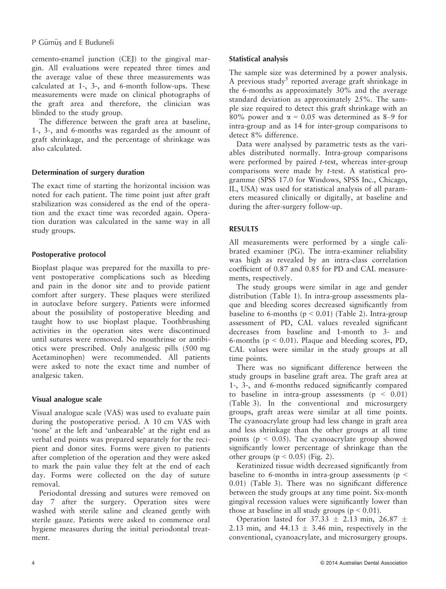cemento-enamel junction (CEJ) to the gingival margin. All evaluations were repeated three times and the average value of these three measurements was calculated at 1-, 3-, and 6-month follow-ups. These measurements were made on clinical photographs of the graft area and therefore, the clinician was blinded to the study group.

The difference between the graft area at baseline, 1-, 3-, and 6-months was regarded as the amount of graft shrinkage, and the percentage of shrinkage was also calculated.

## Determination of surgery duration

The exact time of starting the horizontal incision was noted for each patient. The time point just after graft stabilization was considered as the end of the operation and the exact time was recorded again. Operation duration was calculated in the same way in all study groups.

## Postoperative protocol

Bioplast plaque was prepared for the maxilla to prevent postoperative complications such as bleeding and pain in the donor site and to provide patient comfort after surgery. These plaques were sterilized in autoclave before surgery. Patients were informed about the possibility of postoperative bleeding and taught how to use bioplast plaque. Toothbrushing activities in the operation sites were discontinued until sutures were removed. No mouthrinse or antibiotics were prescribed. Only analgesic pills (500 mg Acetaminophen) were recommended. All patients were asked to note the exact time and number of analgesic taken.

## Visual analogue scale

Visual analogue scale (VAS) was used to evaluate pain during the postoperative period. A 10 cm VAS with 'none' at the left and 'unbearable' at the right end as verbal end points was prepared separately for the recipient and donor sites. Forms were given to patients after completion of the operation and they were asked to mark the pain value they felt at the end of each day. Forms were collected on the day of suture removal.

Periodontal dressing and sutures were removed on day 7 after the surgery. Operation sites were washed with sterile saline and cleaned gently with sterile gauze. Patients were asked to commence oral hygiene measures during the initial periodontal treatment.

## Statistical analysis

The sample size was determined by a power analysis. A previous study<sup>5</sup> reported average graft shrinkage in the 6-months as approximately 30% and the average standard deviation as approximately 25%. The sample size required to detect this graft shrinkage with an 80% power and  $\alpha$  = 0.05 was determined as 8–9 for intra-group and as 14 for inter-group comparisons to detect 8% difference.

Data were analysed by parametric tests as the variables distributed normally. Intra-group comparisons were performed by paired *t*-test, whereas inter-group comparisons were made by t-test. A statistical programme (SPSS 17.0 for Windows, SPSS Inc., Chicago, IL, USA) was used for statistical analysis of all parameters measured clinically or digitally, at baseline and during the after-surgery follow-up.

## RESULTS

All measurements were performed by a single calibrated examiner (PG). The intra-examiner reliability was high as revealed by an intra-class correlation coefficient of 0.87 and 0.85 for PD and CAL measurements, respectively.

The study groups were similar in age and gender distribution (Table 1). In intra-group assessments plaque and bleeding scores decreased significantly from baseline to 6-months ( $p < 0.01$ ) (Table 2). Intra-group assessment of PD, CAL values revealed significant decreases from baseline and 1-month to 3- and 6-months ( $p < 0.01$ ). Plaque and bleeding scores, PD, CAL values were similar in the study groups at all time points.

There was no significant difference between the study groups in baseline graft area. The graft area at 1-, 3-, and 6-months reduced significantly compared to baseline in intra-group assessments ( $p < 0.01$ ) (Table 3). In the conventional and microsurgery groups, graft areas were similar at all time points. The cyanoacrylate group had less change in graft area and less shrinkage than the other groups at all time points ( $p < 0.05$ ). The cyanoacrylate group showed significantly lower percentage of shrinkage than the other groups  $(p < 0.05)$  (Fig. 2).

Keratinized tissue width decreased significantly from baseline to 6-months in intra-group assessments ( $p <$ 0.01) (Table 3). There was no significant difference between the study groups at any time point. Six-month gingival recession values were significantly lower than those at baseline in all study groups ( $p < 0.01$ ).

Operation lasted for 37.33  $\pm$  2.13 min, 26.87  $\pm$ 2.13 min, and  $44.13 \pm 3.46$  min, respectively in the conventional, cyanoacrylate, and microsurgery groups.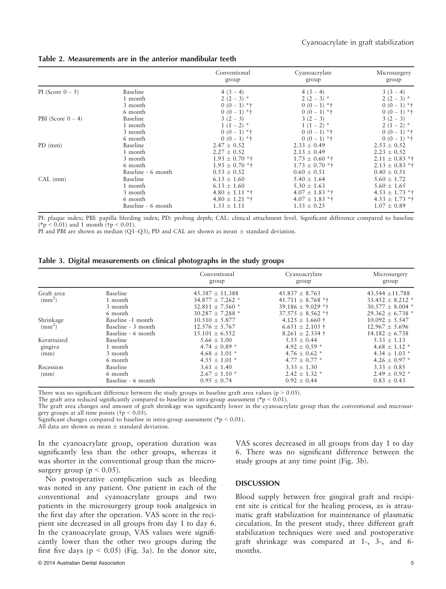Table 2. Measurements are in the anterior mandibular teeth

|                      |                    | Conventional<br>group | Cyanoacrylate<br>group | Microsurgery<br>group |
|----------------------|--------------------|-----------------------|------------------------|-----------------------|
| PI (Score $0-5$ )    | Baseline           | $4(3-4)$              | $4(3-4)$               | $3(3-4)$              |
|                      | 1 month            | $2(2-3)$ *            | $2(2-3)$ *             | $2(2-3)$ *            |
|                      | 3 month            | $0(0-1)$ *†           | $0(0-1)$ *†            | $0(0-1)$ *†           |
|                      | 6 month            | $0(0-1)$ *†           | $0(0-1)$ *†            | $0(0-1)$ *†           |
| PBI (Score $0 - 4$ ) | Baseline           | $3(2-3)$              | $3(2-3)$               | $3(2-3)$              |
|                      | 1 month            | $1(1-2)$ *            | $1(1-2)$ *             | $2(1-2)$ *            |
|                      | 3 month            | $0(0-1)$ *†           | $0(0-1)$ *†            | $0(0-1)$ *†           |
|                      | 6 month            | $0(0-1)$ *†           | $0(0-1)$ *†            | $0(0-1)$ *†           |
| $PD$ (mm)            | Baseline           | $2.47 \pm 0.52$       | $2.33 \pm 0.49$        | $2.53 \pm 0.52$       |
|                      | 1 month            | $2.27 \pm 0.52$       | $2.13 \pm 0.49$        | $2.23 \pm 0.52$       |
|                      | 3 month            | $1.93 \pm 0.70$ *†    | $1.73 \pm 0.60$ *†     | $2.11 \pm 0.83$ *†    |
|                      | 6 month            | $1.93 \pm 0.70$ *†    | $1.73 \pm 0.70$ *†     | $2.13 \pm 0.83$ *†    |
|                      | Baseline - 6 month | $0.53 \pm 0.52$       | $0.60 \pm 0.51$        | $0.40 \pm 0.51$       |
| CAL (mm)             | Baseline           | $6.13 \pm 1.60$       | $5.40 \pm 1.64$        | $5.60 \pm 1.72$       |
|                      | 1 month            | $6.13 \pm 1.60$       | $5.30 \pm 1.63$        | $5.60 \pm 1.65$       |
|                      | 3 month            | $4.80 \pm 1.11$ *†    | $4.07 \pm 1.83$ *†     | $4.53 \pm 1.73$ *†    |
|                      | 6 month            | $4.80 \pm 1.21$ *†    | $4.07 \pm 1.83$ *†     | $4.53 \pm 1.73$ *†    |
|                      | Baseline - 6 month | $1.33 \pm 1.11$       | $1.33 \pm 0.25$        | $1.07 \pm 0.89$       |

PI: plaque index; PBI: papilla bleeding index; PD: probing depth; CAL: clinical attachment level. Significant difference compared to baseline  $(*p < 0.01)$  and 1 month (†p < 0.01).

PI and PBI are shown as median (Q1–Q3), PD and CAL are shown as mean  $\pm$  standard deviation.

|  |  |  | Table 3. Digital measurements on clinical photographs in the study groups |  |  |  |  |  |  |  |  |  |
|--|--|--|---------------------------------------------------------------------------|--|--|--|--|--|--|--|--|--|
|--|--|--|---------------------------------------------------------------------------|--|--|--|--|--|--|--|--|--|

|                                 |                                                               | Conventional<br>group                                                                       | Cyanoacrylate<br>group                                                                        | Microsurgery<br>group                                                                       |
|---------------------------------|---------------------------------------------------------------|---------------------------------------------------------------------------------------------|-----------------------------------------------------------------------------------------------|---------------------------------------------------------------------------------------------|
| Graft area<br>$\rm (mm^2)$      | Baseline<br>1 month<br>3 month<br>6 month                     | $45.387 \pm 11.388$<br>$34.877 \pm 7.262$ *<br>$32.811 \pm 7.560$ *<br>$30.287 \pm 7.288$ * | $45.837 \pm 8.763$<br>$41.711 \pm 8.768$ **<br>39.186 $\pm$ 9.029 **<br>$37.575 \pm 8.562$ ** | $43.544 \pm 11.788$<br>$33.452 \pm 8.212$ *<br>$30.577 \pm 8.004$ *<br>$29.362 \pm 6.738$ * |
| Shrinkage<br>(mm <sup>2</sup> ) | Baseline -1 month<br>Baseline - 3 month<br>Baseline - 6 month | $10.510 \pm 5.877$<br>$12.576 \pm 5.767$<br>$15.101 \pm 6.552$                              | $4.125 \pm 1.660 \pm 1.000$<br>$6.651 \pm 2.105 \pm 1.005$<br>$8.261 \pm 2.334 \pm 1.00$      | $10.092 \pm 5.547$<br>$12.967 \pm 5.696$<br>$14.182 \pm 6.738$                              |
| Keratinized<br>gingiva<br>(mm)  | Baseline<br>1 month<br>3 month<br>6 month                     | $5.66 \pm 1.00$<br>$4.74 \pm 0.89$ *<br>$4.68 \pm 1.01$ *<br>$4.55 \pm 1.01$ *              | $5.55 \pm 0.44$<br>$4.92 \pm 0.59$ *<br>$4.76 \pm 0.62$ *<br>$4.77 \pm 0.77$ *                | $5.33 \pm 1.13$<br>$4.68 \pm 1.12$ *<br>$4.34 \pm 1.03$ *<br>$4.26 \pm 0.97$ *              |
| Recession<br>(mm)               | Baseline<br>6 month<br>Baseline - 6 month                     | $3.61 \pm 1.40$<br>$2.67 \pm 1.10$ *<br>$0.95 \pm 0.74$                                     | $3.33 \pm 1.30$<br>$2.42 \pm 1.32$ *<br>$0.92 \pm 0.44$                                       | $3.33 \pm 0.85$<br>$2.49 \pm 0.92$ *<br>$0.83 \pm 0.43$                                     |

There was no significant difference between the study groups in baseline graft area values ( $p > 0.05$ ).

The graft area reduced significantly compared to baseline in intra-group assessment (\*p < 0.01).

The graft area changes and amount of graft shrinkage was significantly lower in the cyanoacrylate group than the conventional and microsurgery groups at all time points ( $\uparrow p < 0.05$ ).

Significant changes compared to baseline in intra-group assessment ( $p < 0.01$ ).

All data are shown as mean  $\pm$  standard deviation.

In the cyanoacrylate group, operation duration was significantly less than the other groups, whereas it was shorter in the conventional group than the microsurgery group ( $p < 0.05$ ).

No postoperative complication such as bleeding was noted in any patient. One patient in each of the conventional and cyanoacrylate groups and two patients in the microsurgery group took analgesics in the first day after the operation. VAS score in the recipient site decreased in all groups from day 1 to day 6. In the cyanoacrylate group, VAS values were significantly lower than the other two groups during the first five days ( $p < 0.05$ ) (Fig. 3a). In the donor site, VAS scores decreased in all groups from day 1 to day 6. There was no significant difference between the study groups at any time point (Fig. 3b).

## **DISCUSSION**

Blood supply between free gingival graft and recipient site is critical for the healing process, as is atraumatic graft stabilization for maintenance of plasmatic circulation. In the present study, three different graft stabilization techniques were used and postoperative graft shrinkage was compared at 1-, 3-, and 6 months.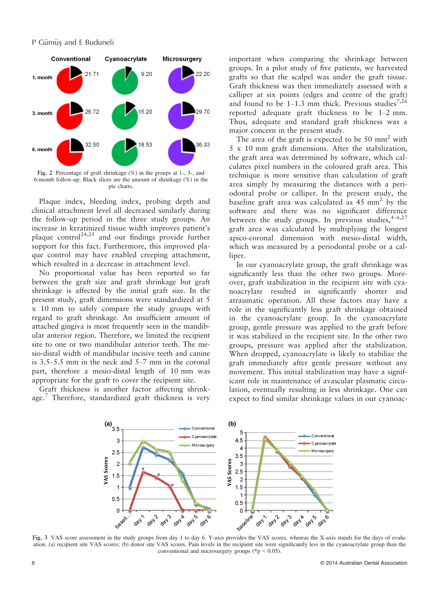### P Gümüş and E Buduneli



Fig. 2 Percentage of graft shrinkage (%) in the groups at 1-, 3-, and 6-month follow-up. Black slices are the amount of shrinkage (%) in the pie charts.

Plaque index, bleeding index, probing depth and clinical attachment level all decreased similarly during the follow-up period in the three study groups. An increase in keratinized tissue width improves patient's plaque control<sup>24,25</sup> and our findings provide further support for this fact. Furthermore, this improved plaque control may have enabled creeping attachment, which resulted in a decrease in attachment level.

No proportional value has been reported so far between the graft size and graft shrinkage but graft shrinkage is affected by the initial graft size. In the present study, graft dimensions were standardized at 5 x 10 mm to safely compare the study groups with regard to graft shrinkage. An insufficient amount of attached gingiva is most frequently seen in the mandibular anterior region. Therefore, we limited the recipient site to one or two mandibular anterior teeth. The mesio-distal width of mandibular incisive teeth and canine is 3.5–5.5 mm in the neck and 5–7 mm in the coronal part, therefore a mesio-distal length of 10 mm was appropriate for the graft to cover the recipient site.

Graft thickness is another factor affecting shrinkage.<sup>7</sup> Therefore, standardized graft thickness is very important when comparing the shrinkage between groups. In a pilot study of five patients, we harvested grafts so that the scalpel was under the graft tissue. Graft thickness was then immediately assessed with a calliper at six points (edges and centre of the graft) and found to be  $1-1.3$  mm thick. Previous studies<sup>7,26</sup> reported adequate graft thickness to be 1–2 mm. Thus, adequate and standard graft thickness was a major concern in the present study.

The area of the graft is expected to be  $50 \text{ mm}^2$  with 5 x 10 mm graft dimensions. After the stabilization, the graft area was determined by software, which calculates pixel numbers in the coloured graft area. This technique is more sensitive than calculation of graft area simply by measuring the distances with a periodontal probe or calliper. In the present study, the baseline graft area was calculated as  $45 \text{ mm}^2$  by the software and there was no significant difference between the study groups. In previous studies,  $4-6,27$ graft area was calculated by multiplying the longest apico-coronal dimension with mesio-distal width, which was measured by a periodontal probe or a calliper.

In our cyanoacrylate group, the graft shrinkage was significantly less than the other two groups. Moreover, graft stabilization in the recipient site with cyanoacrylate resulted in significantly shorter and atraumatic operation. All these factors may have a role in the significantly less graft shrinkage obtained in the cyanoacrylate group. In the cyanoacrylate group, gentle pressure was applied to the graft before it was stabilized in the recipient site. In the other two groups, pressure was applied after the stabilization. When dropped, cyanoacrylate is likely to stabilize the graft immediately after gentle pressure without any movement. This initial stabilization may have a significant role in maintenance of avascular plasmatic circulation, eventually resulting in less shrinkage. One can expect to find similar shrinkage values in our cyanoac-



ation. (a) recipient site VAS scores; (b) donor site VAS scores. Pain levels in the recipient site were significantly less in the cyanoacrylate group than the conventional and microsurgery groups ( $np < 0.05$ ).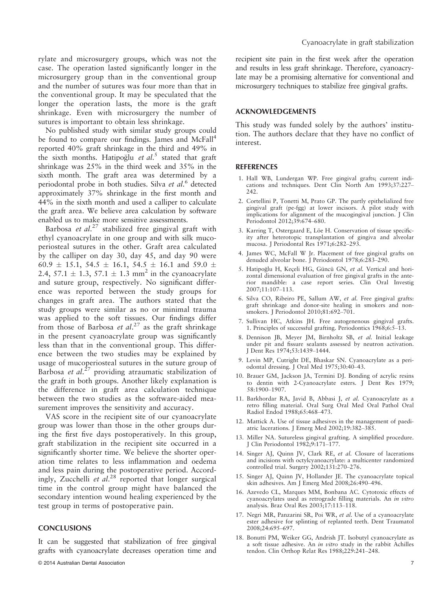rylate and microsurgery groups, which was not the case. The operation lasted significantly longer in the microsurgery group than in the conventional group and the number of sutures was four more than that in the conventional group. It may be speculated that the longer the operation lasts, the more is the graft shrinkage. Even with microsurgery the number of sutures is important to obtain less shrinkage.

No published study with similar study groups could be found to compare our findings. James and McFall<sup>4</sup> reported 40% graft shrinkage in the third and 49% in the sixth months. Hatipoglu et al.<sup>5</sup> stated that graft shrinkage was 25% in the third week and 35% in the sixth month. The graft area was determined by a periodontal probe in both studies. Silva et al.<sup>6</sup> detected approximately 37% shrinkage in the first month and 44% in the sixth month and used a calliper to calculate the graft area. We believe area calculation by software enabled us to make more sensitive assessments.

Barbosa et  $al.^{27}$  stabilized free gingival graft with ethyl cyanoacrylate in one group and with silk mucoperiosteal sutures in the other. Graft area calculated by the calliper on day 30, day 45, and day 90 were 60.9  $\pm$  15.1, 54.5  $\pm$  16.1, 54.5  $\pm$  16.1 and 59.0  $\pm$ 2.4, 57.1  $\pm$  1.3, 57.1  $\pm$  1.3 mm<sup>2</sup> in the cyanoacrylate and suture group, respectively. No significant difference was reported between the study groups for changes in graft area. The authors stated that the study groups were similar as no or minimal trauma was applied to the soft tissues. Our findings differ from those of Barbosa et  $al.^{27}$  as the graft shrinkage in the present cyanoacrylate group was significantly less than that in the conventional group. This difference between the two studies may be explained by usage of mucoperiosteal sutures in the suture group of Barbosa et al.<sup>27</sup> providing atraumatic stabilization of the graft in both groups. Another likely explanation is the difference in graft area calculation technique between the two studies as the software-aided measurement improves the sensitivity and accuracy.

VAS score in the recipient site of our cyanoacrylate group was lower than those in the other groups during the first five days postoperatively. In this group, graft stabilization in the recipient site occurred in a significantly shorter time. We believe the shorter operation time relates to less inflammation and oedema and less pain during the postoperative period. Accordingly, Zucchelli et al.<sup>28</sup> reported that longer surgical time in the control group might have balanced the secondary intention wound healing experienced by the test group in terms of postoperative pain.

#### **CONCLUSIONS**

It can be suggested that stabilization of free gingival grafts with cyanoacrylate decreases operation time and recipient site pain in the first week after the operation and results in less graft shrinkage. Therefore, cyanoacrylate may be a promising alternative for conventional and microsurgery techniques to stabilize free gingival grafts.

#### ACKNOWLEDGEMENTS

This study was funded solely by the authors' institution. The authors declare that they have no conflict of interest.

#### **REFERENCES**

- 1. Hall WB, Lundergan WP. Free gingival grafts; current indications and techniques. Dent Clin North Am 1993;37:227– 242.
- 2. Cortellini P, Tonetti M, Prato GP. The partly epithelialized free gingival graft (pe-fgg) at lower incisors. A pilot study with implications for alignment of the mucogingival junction. J Clin Periodontol 2012;39:674–680.
- 3. Karring T, Ostergaard E, Löe H. Conservation of tissue specificity after heterotopic transplantation of gingiva and alveolar mucosa. J Periodontal Res 1971;6:282–293.
- 4. James WC, McFall W Jr. Placement of free gingival grafts on denuded alveolar bone. J Periodontol 1978;6:283–290.
- 5. Hatipoğlu H, Keçeli HG, Güncü GN, et al. Vertical and horizontal dimensional evaluation of free gingival grafts in the anterior mandible: a case report series. Clin Oral Investig 2007;11:107–113.
- 6. Silva CO, Ribeiro PE, Sallum AW, et al. Free gingival grafts: graft shrinkage and donor-site healing in smokers and nonsmokers. J Periodontol 2010;81:692–701.
- 7. Sullivan HC, Atkins JH. Free autogenenous gingival grafts. 1. Principles of successful grafting. Periodontics 1968;6:5–13.
- 8. Dennison JB, Meyer JM, Birnholtz SB, et al. Initial leakage under pit and fissure sealants assessed by neutron activation. J Dent Res 1974;53:1439–1444.
- 9. Levin MP, Cutright DE, Bhaskar SN. Cyanoacrylate as a periodontal dressing. J Oral Med 1975;30:40–43.
- 10. Brauer GM, Jackson JA, Termini DJ. Bonding of acrylic resins to dentin with 2-Cyanoacrylate esters. J Dent Res 1979; 58:1900–1907.
- 11. Barkhordar RA, Javid B, Abbasi J, et al. Cyanoacrylate as a retro filling material. Oral Surg Oral Med Oral Pathol Oral Radiol Endod 1988;65:468–473.
- 12. Mattick A. Use of tissue adhesives in the management of paediatric lacerations. J Emerg Med 2002;19:382–385.
- 13. Miller NA. Sutureless gingival grafting. A simplified procedure. J Clin Periodontol 1982;9:171–177.
- 14. Singer AJ, Quinn JV, Clark RE, et al. Closure of lacerations and incisions with octylcyanoacrylate: a multicenter randomized controlled trial. Surgery 2002;131:270–276.
- 15. Singer AJ, Quinn JV, Hollander JE. The cyanoacrylate topical skin adhesives. Am J Emerg Med 2008;26:490–496.
- 16. Azevedo CL, Marques MM, Bonbana AC. Cytotoxic effects of cyanoacrylates used as retrograde filling materials. An in vitro analysis. Braz Oral Res 2003;17:113–118.
- 17. Negri MR, Panzarini SR, Poi WR, et al. Use of a cyanoacrylate ester adhesive for splinting of replanted teeth. Dent Traumatol 2008;24:695–697.
- 18. Bonutti PM, Weiker GG, Andrish JT. Isobutyl cyanoacrylate as a soft tissue adhesive. An in vitro study in the rabbit Achilles tendon. Clin Orthop Relat Res 1988;229:241–248.